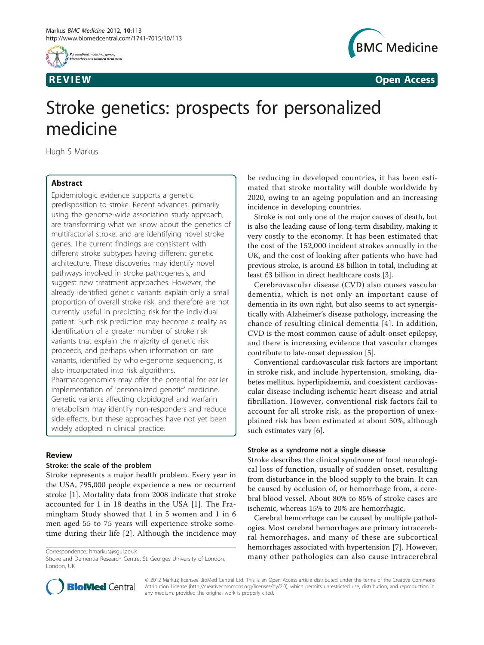





**REVIEW CONSIDERING CONSIDERING CONSIDERING CONSIDERING CONSIDERING CONSIDERING CONSIDERING CONSIDERING CONSIDERING CONSIDERING CONSIDERING CONSIDERING CONSIDERING CONSIDERING CONSIDERING CONSIDERING CONSIDERING CONSIDER** 

# Stroke genetics: prospects for personalized medicine

Hugh S Markus

## Abstract

Epidemiologic evidence supports a genetic predisposition to stroke. Recent advances, primarily using the genome-wide association study approach, are transforming what we know about the genetics of multifactorial stroke, and are identifying novel stroke genes. The current findings are consistent with different stroke subtypes having different genetic architecture. These discoveries may identify novel pathways involved in stroke pathogenesis, and suggest new treatment approaches. However, the already identified genetic variants explain only a small proportion of overall stroke risk, and therefore are not currently useful in predicting risk for the individual patient. Such risk prediction may become a reality as identification of a greater number of stroke risk variants that explain the majority of genetic risk proceeds, and perhaps when information on rare variants, identified by whole-genome sequencing, is also incorporated into risk algorithms. Pharmacogenomics may offer the potential for earlier implementation of 'personalized genetic' medicine. Genetic variants affecting clopidogrel and warfarin metabolism may identify non-responders and reduce side-effects, but these approaches have not yet been widely adopted in clinical practice.

## Review

## Stroke: the scale of the problem

Stroke represents a major health problem. Every year in the USA, 795,000 people experience a new or recurrent stroke [\[1](#page-6-0)]. Mortality data from 2008 indicate that stroke accounted for 1 in 18 deaths in the USA [[1\]](#page-6-0). The Framingham Study showed that 1 in 5 women and 1 in 6 men aged 55 to 75 years will experience stroke sometime during their life [\[2\]](#page-6-0). Although the incidence may

Stroke and Dementia Research Centre, St. Georges University of London, London, UK



Stroke is not only one of the major causes of death, but is also the leading cause of long-term disability, making it very costly to the economy. It has been estimated that the cost of the 152,000 incident strokes annually in the UK, and the cost of looking after patients who have had previous stroke, is around £8 billion in total, including at least £3 billion in direct healthcare costs [[3\]](#page-6-0).

Cerebrovascular disease (CVD) also causes vascular dementia, which is not only an important cause of dementia in its own right, but also seems to act synergistically with Alzheimer's disease pathology, increasing the chance of resulting clinical dementia [[4\]](#page-6-0). In addition, CVD is the most common cause of adult-onset epilepsy, and there is increasing evidence that vascular changes contribute to late-onset depression [\[5](#page-6-0)].

Conventional cardiovascular risk factors are important in stroke risk, and include hypertension, smoking, diabetes mellitus, hyperlipidaemia, and coexistent cardiovascular disease including ischemic heart disease and atrial fibrillation. However, conventional risk factors fail to account for all stroke risk, as the proportion of unexplained risk has been estimated at about 50%, although such estimates vary [\[6](#page-6-0)].

## Stroke as a syndrome not a single disease

Stroke describes the clinical syndrome of focal neurological loss of function, usually of sudden onset, resulting from disturbance in the blood supply to the brain. It can be caused by occlusion of, or hemorrhage from, a cerebral blood vessel. About 80% to 85% of stroke cases are ischemic, whereas 15% to 20% are hemorrhagic.

Cerebral hemorrhage can be caused by multiple pathologies. Most cerebral hemorrhages are primary intracerebral hemorrhages, and many of these are subcortical hemorrhages associated with hypertension [\[7](#page-6-0)]. However, Correspondence: [hmarkus@sgul.ac.uk](mailto:hmarkus@sgul.ac.uk)<br>Stroke and Dementia Research Centre, St. Georges University of London, many other pathologies can also cause intracerebral



© 2012 Markus; licensee BioMed Central Ltd. This is an Open Access article distributed under the terms of the Creative Commons Attribution License [\(http://creativecommons.org/licenses/by/2.0](http://creativecommons.org/licenses/by/2.0)), which permits unrestricted use, distribution, and reproduction in any medium, provided the original work is properly cited.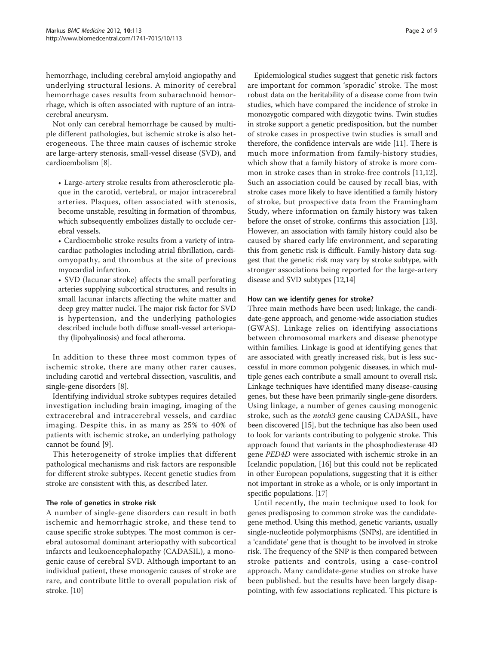hemorrhage, including cerebral amyloid angiopathy and underlying structural lesions. A minority of cerebral hemorrhage cases results from subarachnoid hemorrhage, which is often associated with rupture of an intracerebral aneurysm.

Not only can cerebral hemorrhage be caused by multiple different pathologies, but ischemic stroke is also heterogeneous. The three main causes of ischemic stroke are large-artery stenosis, small-vessel disease (SVD), and cardioembolism [\[8](#page-6-0)].

• Large-artery stroke results from atherosclerotic plaque in the carotid, vertebral, or major intracerebral arteries. Plaques, often associated with stenosis, become unstable, resulting in formation of thrombus, which subsequently embolizes distally to occlude cerebral vessels.

• Cardioembolic stroke results from a variety of intracardiac pathologies including atrial fibrillation, cardiomyopathy, and thrombus at the site of previous myocardial infarction.

• SVD (lacunar stroke) affects the small perforating arteries supplying subcortical structures, and results in small lacunar infarcts affecting the white matter and deep grey matter nuclei. The major risk factor for SVD is hypertension, and the underlying pathologies described include both diffuse small-vessel arteriopathy (lipohyalinosis) and focal atheroma.

In addition to these three most common types of ischemic stroke, there are many other rarer causes, including carotid and vertebral dissection, vasculitis, and single-gene disorders [\[8](#page-6-0)].

Identifying individual stroke subtypes requires detailed investigation including brain imaging, imaging of the extracerebral and intracerebral vessels, and cardiac imaging. Despite this, in as many as 25% to 40% of patients with ischemic stroke, an underlying pathology cannot be found [\[9\]](#page-6-0).

This heterogeneity of stroke implies that different pathological mechanisms and risk factors are responsible for different stroke subtypes. Recent genetic studies from stroke are consistent with this, as described later.

## The role of genetics in stroke risk

A number of single-gene disorders can result in both ischemic and hemorrhagic stroke, and these tend to cause specific stroke subtypes. The most common is cerebral autosomal dominant arteriopathy with subcortical infarcts and leukoencephalopathy (CADASIL), a monogenic cause of cerebral SVD. Although important to an individual patient, these monogenic causes of stroke are rare, and contribute little to overall population risk of stroke. [[10](#page-6-0)]

Epidemiological studies suggest that genetic risk factors are important for common 'sporadic' stroke. The most robust data on the heritability of a disease come from twin studies, which have compared the incidence of stroke in monozygotic compared with dizygotic twins. Twin studies in stroke support a genetic predisposition, but the number of stroke cases in prospective twin studies is small and therefore, the confidence intervals are wide [\[11\]](#page-6-0). There is much more information from family-history studies, which show that a family history of stroke is more common in stroke cases than in stroke-free controls [[11,12](#page-6-0)]. Such an association could be caused by recall bias, with stroke cases more likely to have identified a family history of stroke, but prospective data from the Framingham Study, where information on family history was taken before the onset of stroke, confirms this association [\[13](#page-6-0)]. However, an association with family history could also be caused by shared early life environment, and separating this from genetic risk is difficult. Family-history data suggest that the genetic risk may vary by stroke subtype, with stronger associations being reported for the large-artery disease and SVD subtypes [[12](#page-6-0)[,14\]](#page-7-0)

#### How can we identify genes for stroke?

Three main methods have been used; linkage, the candidate-gene approach, and genome-wide association studies (GWAS). Linkage relies on identifying associations between chromosomal markers and disease phenotype within families. Linkage is good at identifying genes that are associated with greatly increased risk, but is less successful in more common polygenic diseases, in which multiple genes each contribute a small amount to overall risk. Linkage techniques have identified many disease-causing genes, but these have been primarily single-gene disorders. Using linkage, a number of genes causing monogenic stroke, such as the notch3 gene causing CADASIL, have been discovered [\[15\]](#page-7-0), but the technique has also been used to look for variants contributing to polygenic stroke. This approach found that variants in the phosphodiesterase 4D gene PED4D were associated with ischemic stroke in an Icelandic population, [[16](#page-7-0)] but this could not be replicated in other European populations, suggesting that it is either not important in stroke as a whole, or is only important in specific populations. [\[17\]](#page-7-0)

Until recently, the main technique used to look for genes predisposing to common stroke was the candidategene method. Using this method, genetic variants, usually single-nucleotide polymorphisms (SNPs), are identified in a 'candidate' gene that is thought to be involved in stroke risk. The frequency of the SNP is then compared between stroke patients and controls, using a case-control approach. Many candidate-gene studies on stroke have been published. but the results have been largely disappointing, with few associations replicated. This picture is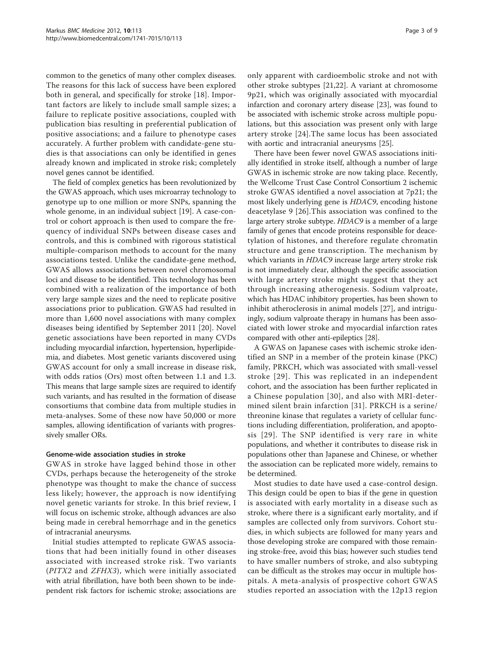common to the genetics of many other complex diseases. The reasons for this lack of success have been explored both in general, and specifically for stroke [[18\]](#page-7-0). Important factors are likely to include small sample sizes; a failure to replicate positive associations, coupled with publication bias resulting in preferential publication of positive associations; and a failure to phenotype cases accurately. A further problem with candidate-gene studies is that associations can only be identified in genes already known and implicated in stroke risk; completely novel genes cannot be identified.

The field of complex genetics has been revolutionized by the GWAS approach, which uses microarray technology to genotype up to one million or more SNPs, spanning the whole genome, in an individual subject [\[19](#page-7-0)]. A case-control or cohort approach is then used to compare the frequency of individual SNPs between disease cases and controls, and this is combined with rigorous statistical multiple-comparison methods to account for the many associations tested. Unlike the candidate-gene method, GWAS allows associations between novel chromosomal loci and disease to be identified. This technology has been combined with a realization of the importance of both very large sample sizes and the need to replicate positive associations prior to publication. GWAS had resulted in more than 1,600 novel associations with many complex diseases being identified by September 2011 [[20\]](#page-7-0). Novel genetic associations have been reported in many CVDs including myocardial infarction, hypertension, hyperlipidemia, and diabetes. Most genetic variants discovered using GWAS account for only a small increase in disease risk, with odds ratios (Ors) most often between 1.1 and 1.3. This means that large sample sizes are required to identify such variants, and has resulted in the formation of disease consortiums that combine data from multiple studies in meta-analyses. Some of these now have 50,000 or more samples, allowing identification of variants with progressively smaller ORs.

## Genome-wide association studies in stroke

GWAS in stroke have lagged behind those in other CVDs, perhaps because the heterogeneity of the stroke phenotype was thought to make the chance of success less likely; however, the approach is now identifying novel genetic variants for stroke. In this brief review, I will focus on ischemic stroke, although advances are also being made in cerebral hemorrhage and in the genetics of intracranial aneurysms.

Initial studies attempted to replicate GWAS associations that had been initially found in other diseases associated with increased stroke risk. Two variants (PITX2 and ZFHX3), which were initially associated with atrial fibrillation, have both been shown to be independent risk factors for ischemic stroke; associations are only apparent with cardioembolic stroke and not with other stroke subtypes [[21,22\]](#page-7-0). A variant at chromosome 9p21, which was originally associated with myocardial infarction and coronary artery disease [[23](#page-7-0)], was found to be associated with ischemic stroke across multiple populations, but this association was present only with large artery stroke [[24\]](#page-7-0).The same locus has been associated with aortic and intracranial aneurysms [[25](#page-7-0)].

There have been fewer novel GWAS associations initially identified in stroke itself, although a number of large GWAS in ischemic stroke are now taking place. Recently, the Wellcome Trust Case Control Consortium 2 ischemic stroke GWAS identified a novel association at 7p21; the most likely underlying gene is HDAC9, encoding histone deacetylase 9 [[26](#page-7-0)].This association was confined to the large artery stroke subtype. HDAC9 is a member of a large family of genes that encode proteins responsible for deacetylation of histones, and therefore regulate chromatin structure and gene transcription. The mechanism by which variants in HDAC9 increase large artery stroke risk is not immediately clear, although the specific association with large artery stroke might suggest that they act through increasing atherogenesis. Sodium valproate, which has HDAC inhibitory properties, has been shown to inhibit atheroclerosis in animal models [\[27](#page-7-0)], and intriguingly, sodium valproate therapy in humans has been associated with lower stroke and myocardial infarction rates compared with other anti-epileptics [\[28\]](#page-7-0).

A GWAS on Japanese cases with ischemic stroke identified an SNP in a member of the protein kinase (PKC) family, PRKCH, which was associated with small-vessel stroke [[29](#page-7-0)]. This was replicated in an independent cohort, and the association has been further replicated in a Chinese population [[30\]](#page-7-0), and also with MRI-determined silent brain infarction [[31](#page-7-0)]. PRKCH is a serine/ threonine kinase that regulates a variety of cellular functions including differentiation, proliferation, and apoptosis [[29\]](#page-7-0). The SNP identified is very rare in white populations, and whether it contributes to disease risk in populations other than Japanese and Chinese, or whether the association can be replicated more widely, remains to be determined.

Most studies to date have used a case-control design. This design could be open to bias if the gene in question is associated with early mortality in a disease such as stroke, where there is a significant early mortality, and if samples are collected only from survivors. Cohort studies, in which subjects are followed for many years and those developing stroke are compared with those remaining stroke-free, avoid this bias; however such studies tend to have smaller numbers of stroke, and also subtyping can be difficult as the strokes may occur in multiple hospitals. A meta-analysis of prospective cohort GWAS studies reported an association with the 12p13 region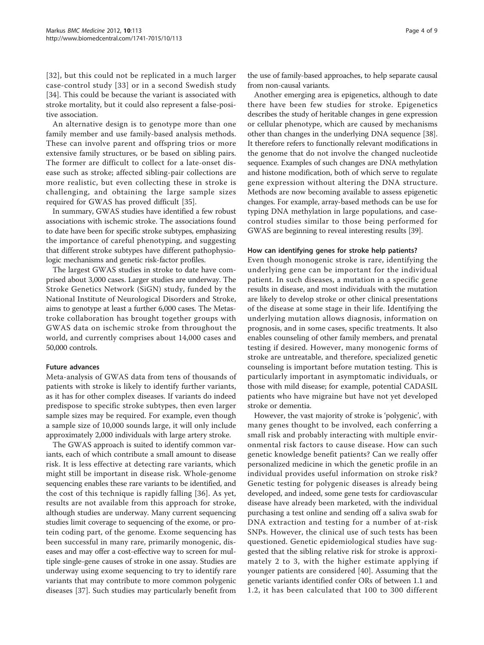[[32](#page-7-0)], but this could not be replicated in a much larger case-control study [[33](#page-7-0)] or in a second Swedish study [[34\]](#page-7-0). This could be because the variant is associated with stroke mortality, but it could also represent a false-positive association.

An alternative design is to genotype more than one family member and use family-based analysis methods. These can involve parent and offspring trios or more extensive family structures, or be based on sibling pairs. The former are difficult to collect for a late-onset disease such as stroke; affected sibling-pair collections are more realistic, but even collecting these in stroke is challenging, and obtaining the large sample sizes required for GWAS has proved difficult [[35\]](#page-7-0).

In summary, GWAS studies have identified a few robust associations with ischemic stroke. The associations found to date have been for specific stroke subtypes, emphasizing the importance of careful phenotyping, and suggesting that different stroke subtypes have different pathophysiologic mechanisms and genetic risk-factor profiles.

The largest GWAS studies in stroke to date have comprised about 3,000 cases. Larger studies are underway. The Stroke Genetics Network (SiGN) study, funded by the National Institute of Neurological Disorders and Stroke, aims to genotype at least a further 6,000 cases. The Metastroke collaboration has brought together groups with GWAS data on ischemic stroke from throughout the world, and currently comprises about 14,000 cases and 50,000 controls.

#### Future advances

Meta-analysis of GWAS data from tens of thousands of patients with stroke is likely to identify further variants, as it has for other complex diseases. If variants do indeed predispose to specific stroke subtypes, then even larger sample sizes may be required. For example, even though a sample size of 10,000 sounds large, it will only include approximately 2,000 individuals with large artery stroke.

The GWAS approach is suited to identify common variants, each of which contribute a small amount to disease risk. It is less effective at detecting rare variants, which might still be important in disease risk. Whole-genome sequencing enables these rare variants to be identified, and the cost of this technique is rapidly falling [[36\]](#page-7-0). As yet, results are not available from this approach for stroke, although studies are underway. Many current sequencing studies limit coverage to sequencing of the exome, or protein coding part, of the genome. Exome sequencing has been successful in many rare, primarily monogenic, diseases and may offer a cost-effective way to screen for multiple single-gene causes of stroke in one assay. Studies are underway using exome sequencing to try to identify rare variants that may contribute to more common polygenic diseases [[37\]](#page-7-0). Such studies may particularly benefit from

the use of family-based approaches, to help separate causal from non-causal variants.

Another emerging area is epigenetics, although to date there have been few studies for stroke. Epigenetics describes the study of heritable changes in gene expression or cellular phenotype, which are caused by mechanisms other than changes in the underlying DNA sequence [[38](#page-8-0)]. It therefore refers to functionally relevant modifications in the genome that do not involve the changed nucleotide sequence. Examples of such changes are DNA methylation and histone modification, both of which serve to regulate gene expression without altering the DNA structure. Methods are now becoming available to assess epigenetic changes. For example, array-based methods can be use for typing DNA methylation in large populations, and casecontrol studies similar to those being performed for GWAS are beginning to reveal interesting results [[39](#page-8-0)].

#### How can identifying genes for stroke help patients?

Even though monogenic stroke is rare, identifying the underlying gene can be important for the individual patient. In such diseases, a mutation in a specific gene results in disease, and most individuals with the mutation are likely to develop stroke or other clinical presentations of the disease at some stage in their life. Identifying the underlying mutation allows diagnosis, information on prognosis, and in some cases, specific treatments. It also enables counseling of other family members, and prenatal testing if desired. However, many monogenic forms of stroke are untreatable, and therefore, specialized genetic counseling is important before mutation testing. This is particularly important in asymptomatic individuals, or those with mild disease; for example, potential CADASIL patients who have migraine but have not yet developed stroke or dementia.

However, the vast majority of stroke is 'polygenic', with many genes thought to be involved, each conferring a small risk and probably interacting with multiple environmental risk factors to cause disease. How can such genetic knowledge benefit patients? Can we really offer personalized medicine in which the genetic profile in an individual provides useful information on stroke risk? Genetic testing for polygenic diseases is already being developed, and indeed, some gene tests for cardiovascular disease have already been marketed, with the individual purchasing a test online and sending off a saliva swab for DNA extraction and testing for a number of at-risk SNPs. However, the clinical use of such tests has been questioned. Genetic epidemiological studies have suggested that the sibling relative risk for stroke is approximately 2 to 3, with the higher estimate applying if younger patients are considered [[40\]](#page-8-0). Assuming that the genetic variants identified confer ORs of between 1.1 and 1.2, it has been calculated that 100 to 300 different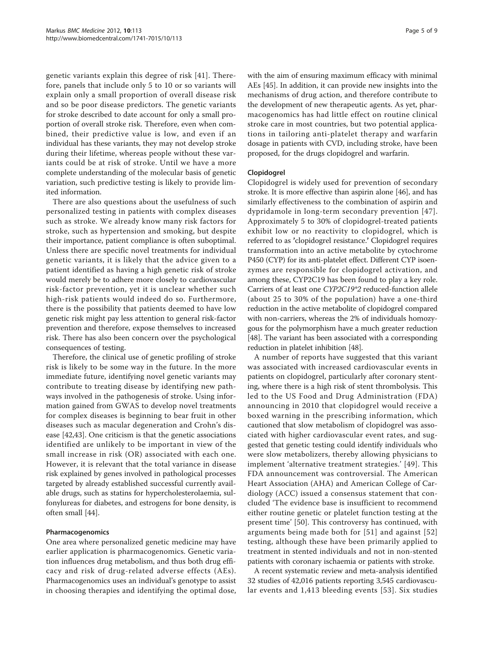genetic variants explain this degree of risk [[41](#page-8-0)]. Therefore, panels that include only 5 to 10 or so variants will explain only a small proportion of overall disease risk and so be poor disease predictors. The genetic variants for stroke described to date account for only a small proportion of overall stroke risk. Therefore, even when combined, their predictive value is low, and even if an individual has these variants, they may not develop stroke during their lifetime, whereas people without these variants could be at risk of stroke. Until we have a more complete understanding of the molecular basis of genetic variation, such predictive testing is likely to provide limited information.

There are also questions about the usefulness of such personalized testing in patients with complex diseases such as stroke. We already know many risk factors for stroke, such as hypertension and smoking, but despite their importance, patient compliance is often suboptimal. Unless there are specific novel treatments for individual genetic variants, it is likely that the advice given to a patient identified as having a high genetic risk of stroke would merely be to adhere more closely to cardiovascular risk-factor prevention, yet it is unclear whether such high-risk patients would indeed do so. Furthermore, there is the possibility that patients deemed to have low genetic risk might pay less attention to general risk-factor prevention and therefore, expose themselves to increased risk. There has also been concern over the psychological consequences of testing.

Therefore, the clinical use of genetic profiling of stroke risk is likely to be some way in the future. In the more immediate future, identifying novel genetic variants may contribute to treating disease by identifying new pathways involved in the pathogenesis of stroke. Using information gained from GWAS to develop novel treatments for complex diseases is beginning to bear fruit in other diseases such as macular degeneration and Crohn's disease [\[42,43](#page-8-0)]. One criticism is that the genetic associations identified are unlikely to be important in view of the small increase in risk (OR) associated with each one. However, it is relevant that the total variance in disease risk explained by genes involved in pathological processes targeted by already established successful currently available drugs, such as statins for hypercholesterolaemia, sulfonylureas for diabetes, and estrogens for bone density, is often small [\[44](#page-8-0)].

## Pharmacogenomics

One area where personalized genetic medicine may have earlier application is pharmacogenomics. Genetic variation influences drug metabolism, and thus both drug efficacy and risk of drug-related adverse effects (AEs). Pharmacogenomics uses an individual's genotype to assist in choosing therapies and identifying the optimal dose, with the aim of ensuring maximum efficacy with minimal AEs [[45\]](#page-8-0). In addition, it can provide new insights into the mechanisms of drug action, and therefore contribute to the development of new therapeutic agents. As yet, pharmacogenomics has had little effect on routine clinical stroke care in most countries, but two potential applications in tailoring anti-platelet therapy and warfarin dosage in patients with CVD, including stroke, have been proposed, for the drugs clopidogrel and warfarin.

#### Clopidogrel

Clopidogrel is widely used for prevention of secondary stroke. It is more effective than aspirin alone [[46\]](#page-8-0), and has similarly effectiveness to the combination of aspirin and dypridamole in long-term secondary prevention [\[47\]](#page-8-0). Approximately 5 to 30% of clopidogrel-treated patients exhibit low or no reactivity to clopidogrel, which is referred to as 'clopidogrel resistance.' Clopidogrel requires transformation into an active metabolite by cytochrome P450 (CYP) for its anti-platelet effect. Different CYP isoenzymes are responsible for clopidogrel activation, and among these, CYP2C19 has been found to play a key role. Carriers of at least one CYP2C19\*2 reduced-function allele (about 25 to 30% of the population) have a one-third reduction in the active metabolite of clopidogrel compared with non-carriers, whereas the 2% of individuals homozygous for the polymorphism have a much greater reduction [[48](#page-8-0)]. The variant has been associated with a corresponding reduction in platelet inhibition [\[48\]](#page-8-0).

A number of reports have suggested that this variant was associated with increased cardiovascular events in patients on clopidogrel, particularly after coronary stenting, where there is a high risk of stent thrombolysis. This led to the US Food and Drug Administration (FDA) announcing in 2010 that clopidogrel would receive a boxed warning in the prescribing information, which cautioned that slow metabolism of clopidogrel was associated with higher cardiovascular event rates, and suggested that genetic testing could identify individuals who were slow metabolizers, thereby allowing physicians to implement 'alternative treatment strategies.' [[49\]](#page-8-0). This FDA announcement was controversial. The American Heart Association (AHA) and American College of Cardiology (ACC) issued a consensus statement that concluded 'The evidence base is insufficient to recommend either routine genetic or platelet function testing at the present time' [\[50](#page-8-0)]. This controversy has continued, with arguments being made both for [[51](#page-8-0)] and against [[52](#page-8-0)] testing, although these have been primarily applied to treatment in stented individuals and not in non-stented patients with coronary ischaemia or patients with stroke.

A recent systematic review and meta-analysis identified 32 studies of 42,016 patients reporting 3,545 cardiovascular events and 1,413 bleeding events [[53](#page-8-0)]. Six studies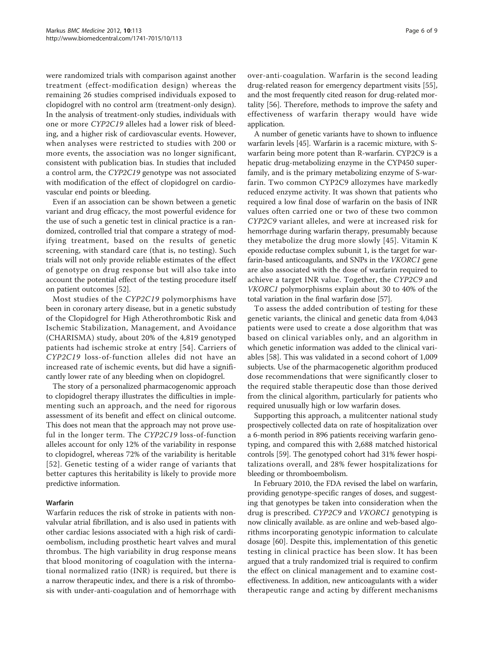were randomized trials with comparison against another treatment (effect-modification design) whereas the remaining 26 studies comprised individuals exposed to clopidogrel with no control arm (treatment-only design). In the analysis of treatment-only studies, individuals with one or more CYP2C19 alleles had a lower risk of bleeding, and a higher risk of cardiovascular events. However, when analyses were restricted to studies with 200 or more events, the association was no longer significant, consistent with publication bias. In studies that included a control arm, the CYP2C19 genotype was not associated with modification of the effect of clopidogrel on cardiovascular end points or bleeding.

Even if an association can be shown between a genetic variant and drug efficacy, the most powerful evidence for the use of such a genetic test in clinical practice is a randomized, controlled trial that compare a strategy of modifying treatment, based on the results of genetic screening, with standard care (that is, no testing). Such trials will not only provide reliable estimates of the effect of genotype on drug response but will also take into account the potential effect of the testing procedure itself on patient outcomes [[52\]](#page-8-0).

Most studies of the CYP2C19 polymorphisms have been in coronary artery disease, but in a genetic substudy of the Clopidogrel for High Atherothrombotic Risk and Ischemic Stabilization, Management, and Avoidance (CHARISMA) study, about 20% of the 4,819 genotyped patients had ischemic stroke at entry [[54\]](#page-8-0). Carriers of CYP2C19 loss-of-function alleles did not have an increased rate of ischemic events, but did have a significantly lower rate of any bleeding when on clopidogrel.

The story of a personalized pharmacogenomic approach to clopidogrel therapy illustrates the difficulties in implementing such an approach, and the need for rigorous assessment of its benefit and effect on clinical outcome. This does not mean that the approach may not prove useful in the longer term. The CYP2C19 loss-of-function alleles account for only 12% of the variability in response to clopidogrel, whereas 72% of the variability is heritable [[52\]](#page-8-0). Genetic testing of a wider range of variants that better captures this heritability is likely to provide more predictive information.

## Warfarin

Warfarin reduces the risk of stroke in patients with nonvalvular atrial fibrillation, and is also used in patients with other cardiac lesions associated with a high risk of cardioembolism, including prosthetic heart valves and mural thrombus. The high variability in drug response means that blood monitoring of coagulation with the international normalized ratio (INR) is required, but there is a narrow therapeutic index, and there is a risk of thrombosis with under-anti-coagulation and of hemorrhage with Page 6 of 9

over-anti-coagulation. Warfarin is the second leading drug-related reason for emergency department visits [[55](#page-8-0)], and the most frequently cited reason for drug-related mortality [\[56](#page-8-0)]. Therefore, methods to improve the safety and effectiveness of warfarin therapy would have wide application.

A number of genetic variants have to shown to influence warfarin levels [[45](#page-8-0)]. Warfarin is a racemic mixture, with Swarfarin being more potent than R-warfarin. CYP2C9 is a hepatic drug-metabolizing enzyme in the CYP450 superfamily, and is the primary metabolizing enzyme of S-warfarin. Two common CYP2C9 allozymes have markedly reduced enzyme activity. It was shown that patients who required a low final dose of warfarin on the basis of INR values often carried one or two of these two common CYP2C9 variant alleles, and were at increased risk for hemorrhage during warfarin therapy, presumably because they metabolize the drug more slowly [[45](#page-8-0)]. Vitamin K epoxide reductase complex subunit 1, is the target for warfarin-based anticoagulants, and SNPs in the VKORC1 gene are also associated with the dose of warfarin required to achieve a target INR value. Together, the CYP2C9 and VKORC1 polymorphisms explain about 30 to 40% of the total variation in the final warfarin dose [[57](#page-8-0)].

To assess the added contribution of testing for these genetic variants, the clinical and genetic data from 4,043 patients were used to create a dose algorithm that was based on clinical variables only, and an algorithm in which genetic information was added to the clinical variables [[58\]](#page-8-0). This was validated in a second cohort of 1,009 subjects. Use of the pharmacogenetic algorithm produced dose recommendations that were significantly closer to the required stable therapeutic dose than those derived from the clinical algorithm, particularly for patients who required unusually high or low warfarin doses.

Supporting this approach, a mulitcenter national study prospectively collected data on rate of hospitalization over a 6-month period in 896 patients receiving warfarin genotyping, and compared this with 2,688 matched historical controls [\[59\]](#page-8-0). The genotyped cohort had 31% fewer hospitalizations overall, and 28% fewer hospitalizations for bleeding or thromboembolism.

In February 2010, the FDA revised the label on warfarin, providing genotype-specific ranges of doses, and suggesting that genotypes be taken into consideration when the drug is prescribed. CYP2C9 and VKORC1 genotyping is now clinically available. as are online and web-based algorithms incorporating genotypic information to calculate dosage [[60\]](#page-8-0). Despite this, implementation of this genetic testing in clinical practice has been slow. It has been argued that a truly randomized trial is required to confirm the effect on clinical management and to examine costeffectiveness. In addition, new anticoagulants with a wider therapeutic range and acting by different mechanisms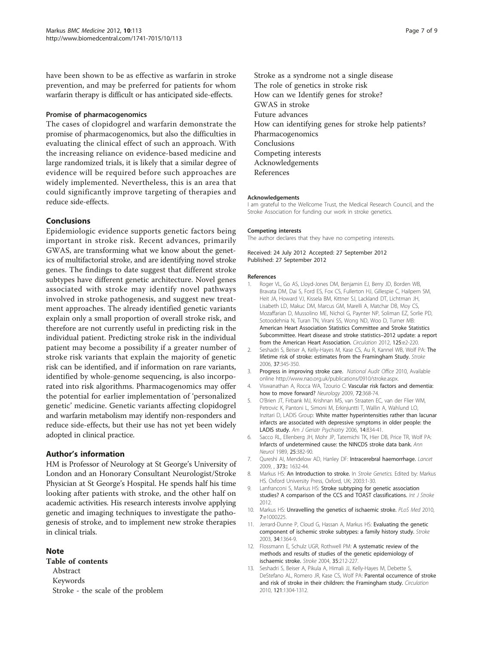<span id="page-6-0"></span>have been shown to be as effective as warfarin in stroke prevention, and may be preferred for patients for whom warfarin therapy is difficult or has anticipated side-effects.

#### Promise of pharmacogenomics

The cases of clopidogrel and warfarin demonstrate the promise of pharmacogenomics, but also the difficulties in evaluating the clinical effect of such an approach. With the increasing reliance on evidence-based medicine and large randomized trials, it is likely that a similar degree of evidence will be required before such approaches are widely implemented. Nevertheless, this is an area that could significantly improve targeting of therapies and reduce side-effects.

## Conclusions

Epidemiologic evidence supports genetic factors being important in stroke risk. Recent advances, primarily GWAS, are transforming what we know about the genetics of multifactorial stroke, and are identifying novel stroke genes. The findings to date suggest that different stroke subtypes have different genetic architecture. Novel genes associated with stroke may identify novel pathways involved in stroke pathogenesis, and suggest new treatment approaches. The already identified genetic variants explain only a small proportion of overall stroke risk, and therefore are not currently useful in predicting risk in the individual patient. Predicting stroke risk in the individual patient may become a possibility if a greater number of stroke risk variants that explain the majority of genetic risk can be identified, and if information on rare variants, identified by whole-genome sequencing, is also incorporated into risk algorithms. Pharmacogenomics may offer the potential for earlier implementation of 'personalized genetic' medicine. Genetic variants affecting clopidogrel and warfarin metabolism may identify non-responders and reduce side-effects, but their use has not yet been widely adopted in clinical practice.

## Author's information

HM is Professor of Neurology at St George's University of London and an Honorary Consultant Neurologist/Stroke Physician at St George's Hospital. He spends half his time looking after patients with stroke, and the other half on academic activities. His research interests involve applying genetic and imaging techniques to investigate the pathogenesis of stroke, and to implement new stroke therapies in clinical trials.

## **Note**

#### Table of contents

Abstract Keywords Stroke - the scale of the problem

Stroke as a syndrome not a single disease The role of genetics in stroke risk How can we Identify genes for stroke? GWAS in stroke Future advances How can identifying genes for stroke help patients? Pharmacogenomics Conclusions Competing interests Acknowledgements References

#### Acknowledgements

I am grateful to the Wellcome Trust, the Medical Research Council, and the Stroke Association for funding our work in stroke genetics.

#### Competing interests

The author declares that they have no competing interests.

#### Received: 24 July 2012 Accepted: 27 September 2012 Published: 27 September 2012

#### References

- 1. Roger VL, Go AS, Lloyd-Jones DM, Benjamin EJ, Berry JD, Borden WB, Bravata DM, Dai S, Ford ES, Fox CS, Fullerton HJ, Gillespie C, Hailpern SM, Heit JA, Howard VJ, Kissela BM, Kittner SJ, Lackland DT, Lichtman JH, Lisabeth LD, Makuc DM, Marcus GM, Marelli A, Matchar DB, Moy CS, Mozaffarian D, Mussolino ME, Nichol G, Paynter NP, Soliman EZ, Sorlie PD, Sotoodehnia N, Turan TN, Virani SS, Wong ND, Woo D, Turner MB: [American Heart Association Statistics Committee and Stroke Statistics](http://www.ncbi.nlm.nih.gov/pubmed/22179539?dopt=Abstract) [Subcommittee. Heart disease and stroke statistics](http://www.ncbi.nlm.nih.gov/pubmed/22179539?dopt=Abstract)–2012 update: a report [from the American Heart Association.](http://www.ncbi.nlm.nih.gov/pubmed/22179539?dopt=Abstract) Circulation 2012, 125:e2-220.
- 2. Seshadri S, Beiser A, Kelly-Hayes M, Kase CS, Au R, Kannel WB, Wolf PA: [The](http://www.ncbi.nlm.nih.gov/pubmed/16397184?dopt=Abstract) [lifetime risk of stroke: estimates from the Framingham Study.](http://www.ncbi.nlm.nih.gov/pubmed/16397184?dopt=Abstract) Stroke 2006, 37:345-350.
- 3. Progress in improving stroke care. National Audit Office 2010, Available online http://www.nao.org.uk/publications/0910/stroke.aspx.
- 4. Viswanathan A, Rocca WA, Tzourio C: [Vascular risk factors and dementia:](http://www.ncbi.nlm.nih.gov/pubmed/19171835?dopt=Abstract) [how to move forward?](http://www.ncbi.nlm.nih.gov/pubmed/19171835?dopt=Abstract) Neurology 2009, 72:368-74.
- 5. O'Brien JT, Firbank MJ, Krishnan MS, van Straaten EC, van der Flier WM, Petrovic K, Pantoni L, Simoni M, Erkinjuntti T, Wallin A, Wahlund LO, Inzitari D, LADIS Group: [White matter hyperintensities rather than lacunar](http://www.ncbi.nlm.nih.gov/pubmed/17001023?dopt=Abstract) [infarcts are associated with depressive symptoms in older people: the](http://www.ncbi.nlm.nih.gov/pubmed/17001023?dopt=Abstract) [LADIS study.](http://www.ncbi.nlm.nih.gov/pubmed/17001023?dopt=Abstract) Am J Geriatr Psychiatry 2006, 14:834-41.
- 6. Sacco RL, Ellenberg JH, Mohr JP, Tatemichi TK, Hier DB, Price TR, Wolf PA: [Infarcts of undetermined cause: the NINCDS stroke data bank.](http://www.ncbi.nlm.nih.gov/pubmed/2712533?dopt=Abstract) Ann Neurol 1989, 25:382-90.
- 7. Qureshi AI, Mendelow AD, Hanley DF: Intracerebral haemorrhage. Lancet 2009, , 373:: 1632-44.
- 8. Markus HS: An Introduction to stroke. In Stroke Genetics. Edited by: Markus HS. Oxford University Press, Oxford, UK; 2003:1-30.
- 9. Lanfranconi S, Markus HS: Stroke subtyping for genetic association studies? A comparison of the CCS and TOAST classifications. Int J Stroke 2012.
- 10. Markus HS: [Unravelling the genetics of ischaemic stroke.](http://www.ncbi.nlm.nih.gov/pubmed/20209141?dopt=Abstract) PLoS Med 2010, 7:e1000225.
- 11. Jerrard-Dunne P, Cloud G, Hassan A, Markus HS: [Evaluating the genetic](http://www.ncbi.nlm.nih.gov/pubmed/12714707?dopt=Abstract) [component of ischemic stroke subtypes: a family history study.](http://www.ncbi.nlm.nih.gov/pubmed/12714707?dopt=Abstract) Stroke 2003, 34:1364-9.
- 12. Flossmann E, Schulz UGR, Rothwell PM: [A systematic review of the](http://www.ncbi.nlm.nih.gov/pubmed/14684773?dopt=Abstract) [methods and results of studies of the genetic epidemiology of](http://www.ncbi.nlm.nih.gov/pubmed/14684773?dopt=Abstract) [ischaemic stroke.](http://www.ncbi.nlm.nih.gov/pubmed/14684773?dopt=Abstract) Stroke 2004, 35:212-227.
- 13. Seshadri S, Beiser A, Pikula A, Himali JJ, Kelly-Hayes M, Debette S, DeStefano AL, Romero JR, Kase CS, Wolf PA: [Parental occurrence of stroke](http://www.ncbi.nlm.nih.gov/pubmed/20212282?dopt=Abstract) [and risk of stroke in their children: the Framingham study.](http://www.ncbi.nlm.nih.gov/pubmed/20212282?dopt=Abstract) Circulation 2010, 121:1304-1312.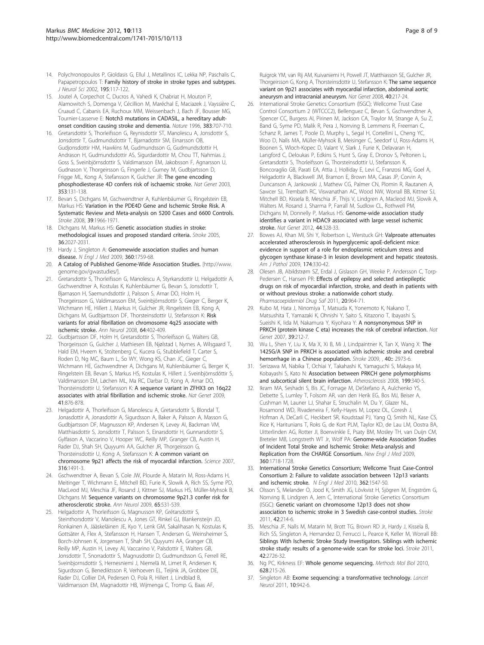- <span id="page-7-0"></span>14. Polychronopoulos P, Gioldasis G, Ellul J, Metallinos IC, Lekka NP, Paschalis C, Papapetropoulos T: [Family history of stroke in stroke types and subtypes.](http://www.ncbi.nlm.nih.gov/pubmed/11897241?dopt=Abstract) J Neurol Sci 2002, 195:117-122.
- 15. Joutel A, Corpechot C, Ducros A, Vahedi K, Chabriat H, Mouton P, Alamowitch S, Domenga V, Cécillion M, Maréchal E, Maciazek J, Vayssière C, Cruaud C, Cabanis EA, Ruchoux MM, Weissenbach J, Bach JF, Bousser MG, Tournier-Lasserve E: [Notch3 mutations in CADASIL, a hereditary adult](http://www.ncbi.nlm.nih.gov/pubmed/8878478?dopt=Abstract)[onset condition causing stroke and dementia.](http://www.ncbi.nlm.nih.gov/pubmed/8878478?dopt=Abstract) Nature 1996, 383:707-710.
- 16. Gretarsdottir S, Thorleifsson G, Reynisdottir ST, Manolescu A, Jonsdottir S, Jonsdottir T, Gudmundsdottir T, Bjarnadottir SM, Einarsson OB, Gudjonsdottir HM, Hawkins M, Gudmundsson G, Gudmundsdottir H, Andrason H, Gudmundsdottir AS, Sigurdardottir M, Chou TT, Nahmias J, Goss S, Sveinbjörnsdottir S, Valdimarsson EM, Jakobsson F, Agnarsson U, Gudnason V, Thorgeirsson G, Fingerle J, Gurney M, Gudbjartsson D, Frigge ML, Kong A, Stefansson K, Gulcher JR: The gene encoding phosphodiesterase 4D confers risk of ischaemic stroke. Nat Genet 2003, 353:131-138.
- 17. Bevan S, Dichgans M, Gschwendtner A, Kuhlenbäumer G, Ringelstein EB, Markus HS: [Variation in the PDE4D Gene and Ischemic Stroke Risk. A](http://www.ncbi.nlm.nih.gov/pubmed/18420948?dopt=Abstract) [Systematic Review and Meta-analysis on 5200 Cases and 6600 Controls.](http://www.ncbi.nlm.nih.gov/pubmed/18420948?dopt=Abstract) Stroke 2008, 39:1966-1971.
- 18. Dichgans M, Markus HS: [Genetic association studies in stroke:](http://www.ncbi.nlm.nih.gov/pubmed/16051898?dopt=Abstract) [methodological issues and proposed standard criteria.](http://www.ncbi.nlm.nih.gov/pubmed/16051898?dopt=Abstract) Stroke 2005, 36:2027-2031.
- 19. Hardy J. Singleton A: [Genomewide association studies and human](http://www.ncbi.nlm.nih.gov/pubmed/19369657?dopt=Abstract) [disease.](http://www.ncbi.nlm.nih.gov/pubmed/19369657?dopt=Abstract) N Engl J Med 2009, 360:1759-68.
- 20. A Catalog of Published Genome-Wide Association Studies. [\[http://www.](http://www.genome.gov/gwastudies/) [genome.gov/gwastudies/](http://www.genome.gov/gwastudies/)].
- 21. Gretarsdottir S, Thorleifsson G, Manolescu A, Styrkarsdottir U, Helgadottir A, Gschwendtner A, Kostulas K, Kuhlenbäumer G, Bevan S, Jonsdottir T, Bjarnason H, Saemundsdottir J, Palsson S, Arnar DO, Holm H, Thorgeirsson G, Valdimarsson EM, Sveinbjörnsdottir S, Gieger C, Berger K, Wichmann HE, Hillert J, Markus H, Gulcher JR, Ringelstein EB, Kong A, Dichgans M, Gudbjartsson DF, Thorsteinsdottir U, Stefansson K: [Risk](http://www.ncbi.nlm.nih.gov/pubmed/18991354?dopt=Abstract) [variants for atrial fibrillation on chromosome 4q25 associate with](http://www.ncbi.nlm.nih.gov/pubmed/18991354?dopt=Abstract) [ischemic stroke.](http://www.ncbi.nlm.nih.gov/pubmed/18991354?dopt=Abstract) Ann Neurol 2008, 64:402-409.
- 22. Gudbjartsson DF, Holm H, Gretarsdottir S, Thorleifsson G, Walters GB, Thorgeirsson G, Gulcher J, Mathiesen EB, Njølstad I, Nyrnes A, Wilsgaard T, Hald EM, Hveem K, Stoltenberg C, Kucera G, Stubblefield T, Carter S, Roden D, Ng MC, Baum L, So WY, Wong KS, Chan JC, Gieger C, Wichmann HE, Gschwendtner A, Dichgans M, Kuhlenbäumer G, Berger K, Ringelstein EB, Bevan S, Markus HS, Kostulas K, Hillert J, Sveinbjörnsdóttir S, Valdimarsson EM, Løchen ML, Ma RC, Darbar D, Kong A, Arnar DO, Thorsteinsdottir U, Stefansson K: [A sequence variant in ZFHX3 on 16q22](http://www.ncbi.nlm.nih.gov/pubmed/19597491?dopt=Abstract) [associates with atrial fibrillation and ischemic stroke.](http://www.ncbi.nlm.nih.gov/pubmed/19597491?dopt=Abstract) Nat Genet 2009, 41:876-878.
- 23. Helgadottir A, Thorleifsson G, Manolescu A, Gretarsdottir S, Blondal T, Jonasdottir A, Jonasdottir A, Sigurdsson A, Baker A, Palsson A, Masson G, Gudbjartsson DF, Magnusson KP, Andersen K, Levey AI, Backman VM, Matthiasdottir S, Jonsdottir T, Palsson S, Einarsdottir H, Gunnarsdottir S, Gylfason A, Vaccarino V, Hooper WC, Reilly MP, Granger CB, Austin H, Rader DJ, Shah SH, Quyyumi AA, Gulcher JR, Thorgeirsson G, Thorsteinsdottir U, Kong A, Stefansson K: [A common variant on](http://www.ncbi.nlm.nih.gov/pubmed/17478679?dopt=Abstract) [chromosome 9p21 affects the risk of myocardial infarction.](http://www.ncbi.nlm.nih.gov/pubmed/17478679?dopt=Abstract) Science 2007, 316:1491-3.
- 24. Gschwendtner A, Bevan S, Cole JW, Plourde A, Matarin M, Ross-Adams H, Meitinger T, Wichmann E, Mitchell BD, Furie K, Slowik A, Rich SS, Syme PD, MacLeod MJ, Meschia JF, Rosand J, Kittner SJ, Markus HS, Müller-Myhsok B, Dichgans M: [Sequence variants on chromosome 9p21.3 confer risk for](http://www.ncbi.nlm.nih.gov/pubmed/19475673?dopt=Abstract) [atherosclerotic stroke.](http://www.ncbi.nlm.nih.gov/pubmed/19475673?dopt=Abstract) Ann Neurol 2009, 65:531-539.
- 25. Helgadottir A, Thorleifsson G, Magnusson KP, Grétarsdottir S, Steinthorsdottir V, Manolescu A, Jones GT, Rinkel GJ, Blankensteijn JD, Ronkainen A, Jääskeläinen JE, Kyo Y, Lenk GM, Sakalihasan N, Kostulas K, Gottsäter A, Flex A, Stefansson H, Hansen T, Andersen G, Weinsheimer S, Borch-Johnsen K, Jorgensen T, Shah SH, Quyyumi AA, Granger CB, Reilly MP, Austin H, Levey AI, Vaccarino V, Palsdottir E, Walters GB, Jonsdottir T, Snorradottir S, Magnusdottir D, Gudmundsson G, Ferrell RE, Sveinbjornsdottir S, Hernesniemi J, Niemelä M, Limet R, Andersen K, Sigurdsson G, Benediktsson R, Verhoeven EL, Teijink JA, Grobbee DE, Rader DJ, Collier DA, Pedersen O, Pola R, Hillert J, Lindblad B, Valdimarsson EM, Magnadottir HB, Wijmenga C, Tromp G, Baas AF,

Ruigrok YM, van Rij AM, Kuivaniemi H, Powell JT, Matthiasson SE, Gulcher JR, Thorgeirsson G, Kong A, Thorsteinsdottir U, Stefansson K: [The same sequence](http://www.ncbi.nlm.nih.gov/pubmed/18176561?dopt=Abstract) [variant on 9p21 associates with myocardial infarction, abdominal aortic](http://www.ncbi.nlm.nih.gov/pubmed/18176561?dopt=Abstract) [aneurysm and intracranial aneurysm.](http://www.ncbi.nlm.nih.gov/pubmed/18176561?dopt=Abstract) Nat Genet 2008, 40:217-24.

- 26. International Stroke Genetics Consortium (ISGC); Wellcome Trust Case Control Consortium 2 (WTCCC2), Bellenguez C, Bevan S, Gschwendtner A, Spencer CC, Burgess AI, Pirinen M, Jackson CA, Traylor M, Strange A, Su Z, Band G, Syme PD, Malik R, Pera J, Norrving B, Lemmens R, Freeman C, Schanz R, James T, Poole D, Murphy L, Segal H, Cortellini L, Cheng YC, Woo D, Nalls MA, Müller-Myhsok B, Meisinger C, Seedorf U, Ross-Adams H, Boonen S, Wloch-Kopec D, Valant V, Slark J, Furie K, Delavaran H, Langford C, Deloukas P, Edkins S, Hunt S, Gray E, Dronov S, Peltonen L, Gretarsdottir S, Thorleifsson G, Thorsteinsdottir U, Stefansson K, Boncoraglio GB, Parati EA, Attia J, Holliday E, Levi C, Franzosi MG, Goel A, Helgadottir A, Blackwell JM, Bramon E, Brown MA, Casas JP, Corvin A, Duncanson A, Jankowski J, Mathew CG, Palmer CN, Plomin R, Rautanen A, Sawcer SJ, Trembath RC, Viswanathan AC, Wood NW, Worrall BB, Kittner SJ, Mitchell BD, Kissela B, Meschia JF, Thijs V, Lindgren A, Macleod MJ, Slowik A, Walters M, Rosand J, Sharma P, Farrall M, Sudlow CL, Rothwell PM, Dichgans M, Donnelly P, Markus HS: [Genome-wide association study](http://www.ncbi.nlm.nih.gov/pubmed/22306652?dopt=Abstract) [identifies a variant in HDAC9 associated with large vessel ischemic](http://www.ncbi.nlm.nih.gov/pubmed/22306652?dopt=Abstract) [stroke.](http://www.ncbi.nlm.nih.gov/pubmed/22306652?dopt=Abstract) Nat Genet 2012, 44:328-33.
- 27. Bowes AJ, Khan MI, Shi Y, Robertson L, Werstuck GH: [Valproate attenuates](http://www.ncbi.nlm.nih.gov/pubmed/19095952?dopt=Abstract) [accelerated atherosclerosis in hyperglycemic apoE-deficient mice:](http://www.ncbi.nlm.nih.gov/pubmed/19095952?dopt=Abstract) [evidence in support of a role for endoplasmic reticulum stress and](http://www.ncbi.nlm.nih.gov/pubmed/19095952?dopt=Abstract) [glycogen synthase kinase-3 in lesion development and hepatic steatosis.](http://www.ncbi.nlm.nih.gov/pubmed/19095952?dopt=Abstract) Am J Pathol 2009, 174:330-42.
- 28. Olesen JB, Abildstrøm SZ, Erdal J, Gislason GH, Weeke P, Andersson C, Torp-Pedersen C, Hansen PR: [Effects of epilepsy and selected antiepileptic](http://www.ncbi.nlm.nih.gov/pubmed/21766386?dopt=Abstract) [drugs on risk of myocardial infarction, stroke, and death in patients with](http://www.ncbi.nlm.nih.gov/pubmed/21766386?dopt=Abstract) [or without previous stroke: a nationwide cohort study.](http://www.ncbi.nlm.nih.gov/pubmed/21766386?dopt=Abstract) Pharmacoepidemiol Drug Saf 2011, 20:964-71.
- 29. Kubo M, Hata J, Ninomiya T, Matsuda K, Yonemoto K, Nakano T, Matsushita T, Yamazaki K, Ohnishi Y, Saito S, Kitazono T, Ibayashi S, Sueishi K, Iida M, Nakamura Y, Kiyohara Y: [A nonsynonymous SNP in](http://www.ncbi.nlm.nih.gov/pubmed/17206144?dopt=Abstract) [PRKCH \(protein kinase C eta\) increases the risk of cerebral infarction.](http://www.ncbi.nlm.nih.gov/pubmed/17206144?dopt=Abstract) Nat Genet 2007, 39:212-7.
- 30. Wu L, Shen Y, Liu X, Ma X, Xi B, Mi J, Lindpaintner K, Tan X, Wang X: The 1425G/A SNP in PRKCH is associated with ischemic stroke and cerebral hemorrhage in a Chinese population. Stroke 2009, , 40:: 2973-6.
- 31. Serizawa M, Nabika T, Ochiai Y, Takahashi K, Yamaguchi S, Makaya M, Kobayashi S, Kato N: [Association between PRKCH gene polymorphisms](http://www.ncbi.nlm.nih.gov/pubmed/18164711?dopt=Abstract) [and subcortical silent brain infarction.](http://www.ncbi.nlm.nih.gov/pubmed/18164711?dopt=Abstract) Atherosclerosis 2008, 199:340-5.
- 32. Ikram MA, Seshadri S, Bis JC, Fornage M, DeStefano A, Aulchenko YS, Debette S, Lumley T, Folsom AR, van den Herik EG, Bos MJ, Beiser A, Cushman M, Launer LJ, Shahar E, Struchalin M, Du Y, Glazer NL, Rosamond WD, Rivadeneira F, Kelly-Hayes M, Lopez OL, Coresh J, Hofman A, DeCarli C, Heckbert SR, Koudstaal PJ, Yang Q, Smith NL, Kase CS, Rice K, Haritunians T, Roks G, de Kort PLM, Taylor KD, de Lau LM, Oostra BA, Uitterlinden AG, Rotter JI, Boerwinkle E, Psaty BM, Mosley TH, van Duijn CM, Breteler MB, Longstreth WT Jr, Wolf PA: [Genome-wide Association Studies](http://www.ncbi.nlm.nih.gov/pubmed/19369658?dopt=Abstract) [of Incident Total Stroke and Ischemic Stroke: Meta-analysis and](http://www.ncbi.nlm.nih.gov/pubmed/19369658?dopt=Abstract) [Replication from the CHARGE Consortium.](http://www.ncbi.nlm.nih.gov/pubmed/19369658?dopt=Abstract) New Engl J Med 2009, 360:1718-1728.
- 33. International Stroke Genetics Consortium; Wellcome Trust Case-Control Consortium 2: Failure to validate association between 12p13 variants and ischemic stroke. N Engl J Med 2010, 362:1547-50.
- 34. Olsson S, Melander O, Jood K, Smith JG, Lövkvist H, Sjögren M, Engström G, Norrving B, Lindgren A, Jern C, International Stroke Genetics Consortium (ISGC): [Genetic variant on chromosome 12p13 does not show](http://www.ncbi.nlm.nih.gov/pubmed/21148441?dopt=Abstract) [association to ischemic stroke in 3 Swedish case-control studies.](http://www.ncbi.nlm.nih.gov/pubmed/21148441?dopt=Abstract) Stroke 2011, 42:214-6.
- 35. Meschia JF, Nalls M, Matarin M, Brott TG, Brown RD Jr, Hardy J, Kissela B, Rich SS, Singleton A, Hernandez D, Ferrucci L, Pearce K, Keller M, Worrall BB: [Siblings With Ischemic Stroke Study Investigators. Siblings with ischemic](http://www.ncbi.nlm.nih.gov/pubmed/21940970?dopt=Abstract) [stroke study: results of a genome-wide scan for stroke loci.](http://www.ncbi.nlm.nih.gov/pubmed/21940970?dopt=Abstract) Stroke 2011, 42:2726-32.
- 36. Ng PC, Kirkness EF: [Whole genome sequencing.](http://www.ncbi.nlm.nih.gov/pubmed/20238084?dopt=Abstract) Methods Mol Biol 2010, 628:215-26.
- 37. Singleton AB: [Exome sequencing: a transformative technology.](http://www.ncbi.nlm.nih.gov/pubmed/21939903?dopt=Abstract) Lancet Neurol 2011, 10:942-6.